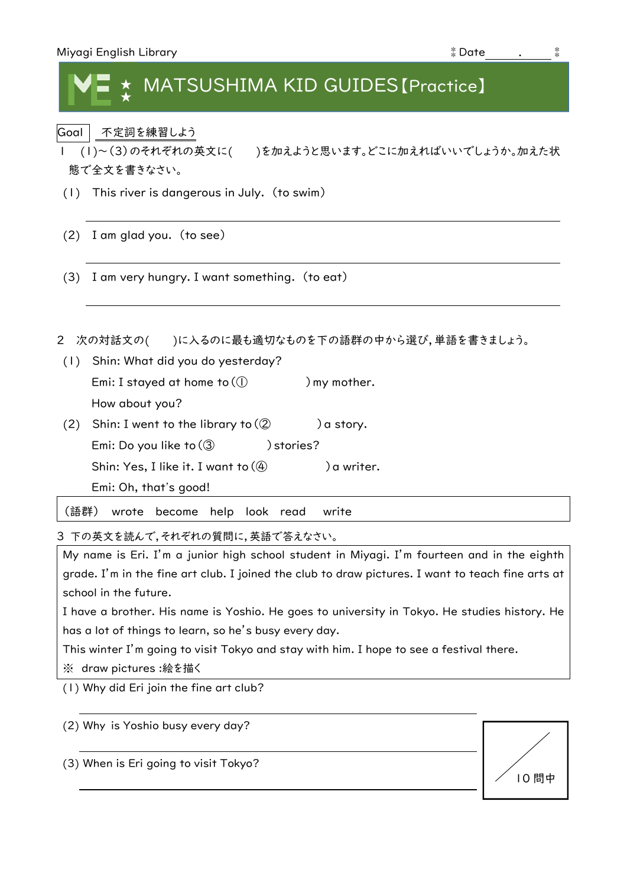| Miyagi English Library | $*$ Date |  |
|------------------------|----------|--|
|                        |          |  |

## MATSUSHIMA KID GUIDES [Practice] ★

Goal 不定詞を練習しよう

- 1 (1)~(3)のそれぞれの英文に( )を加えようと思います。どこに加えればいいでしょうか。加えた状 態で全文を書きなさい。
- (1) This river is dangerous in July. (to swim)
- (2) I am glad you. (to see)
- (3) I am very hungry. I want something. (to eat)
- 2 次の対話文の()に入るのに最も適切なものを下の語群の中から選び,単語を書きましょう。
- (1) Shin: What did you do yesterday? Emi: I stayed at home to  $($   $)$  my mother. How about you? (2) Shin: I went to the library to  $(2)$  ) a story. Emi: Do you like to  $(3)$  ) stories? Shin: Yes, I like it. I want to  $(\mathbb{Q})$  ) a writer.

Emi: Oh, that's good!

(語群) wrote become help look read write

3 下の英文を読んで,それぞれの質問に,英語で答えなさい。

My name is Eri. I'm a junior high school student in Miyagi. I'm fourteen and in the eighth grade. I'm in the fine art club. I joined the club to draw pictures. I want to teach fine arts at school in the future.

I have a brother. His name is Yoshio. He goes to university in Tokyo. He studies history. He has a lot of things to learn, so he's busy every day.

This winter I'm going to visit Tokyo and stay with him. I hope to see a festival there.

※ draw pictures :絵を描く

(1) Why did Eri join the fine art club?

(2) Why is Yoshio busy every day?

(3) When is Eri going to visit Tokyo?